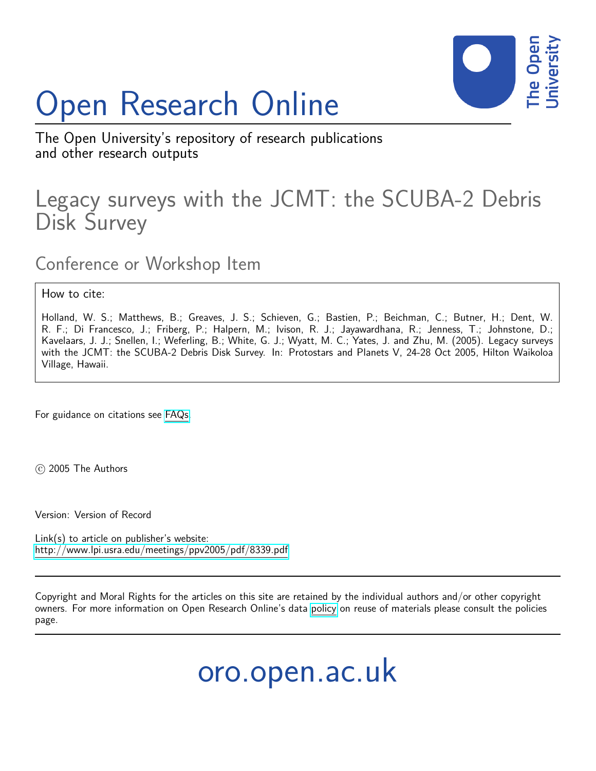## Open Research Online



The Open University's repository of research publications and other research outputs

## Legacy surveys with the JCMT: the SCUBA-2 Debris Disk Survey

Conference or Workshop Item

How to cite:

Holland, W. S.; Matthews, B.; Greaves, J. S.; Schieven, G.; Bastien, P.; Beichman, C.; Butner, H.; Dent, W. R. F.; Di Francesco, J.; Friberg, P.; Halpern, M.; Ivison, R. J.; Jayawardhana, R.; Jenness, T.; Johnstone, D.; Kavelaars, J. J.; Snellen, I.; Weferling, B.; White, G. J.; Wyatt, M. C.; Yates, J. and Zhu, M. (2005). Legacy surveys with the JCMT: the SCUBA-2 Debris Disk Survey. In: Protostars and Planets V, 24-28 Oct 2005, Hilton Waikoloa Village, Hawaii.

For guidance on citations see [FAQs.](http://oro.open.ac.uk/help/helpfaq.html)

c 2005 The Authors

Version: Version of Record

Link(s) to article on publisher's website: <http://www.lpi.usra.edu/meetings/ppv2005/pdf/8339.pdf>

Copyright and Moral Rights for the articles on this site are retained by the individual authors and/or other copyright owners. For more information on Open Research Online's data [policy](http://oro.open.ac.uk/policies.html) on reuse of materials please consult the policies page.

oro.open.ac.uk